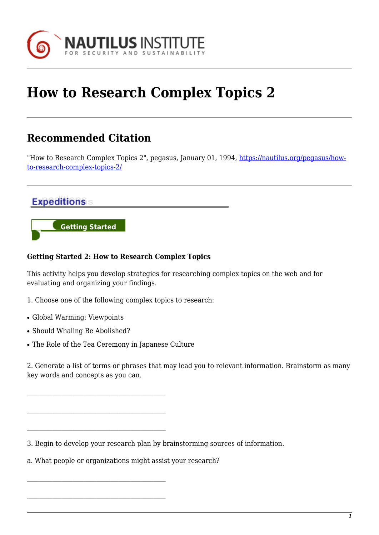

## **How to Research Complex Topics 2**

## **Recommended Citation**

"How to Research Complex Topics 2", pegasus, January 01, 1994, [https://nautilus.org/pegasus/how](https://nautilus.org/pegasus/how-to-research-complex-topics-2/)[to-research-complex-topics-2/](https://nautilus.org/pegasus/how-to-research-complex-topics-2/)

## **Expeditions**



## **Getting Started 2: How to Research Complex Topics**

This activity helps you develop strategies for researching complex topics on the web and for evaluating and organizing your findings.

- 1. Choose one of the following complex topics to research:
- Global Warming: Viewpoints
- Should Whaling Be Abolished?
- The Role of the Tea Ceremony in Japanese Culture

2. Generate a list of terms or phrases that may lead you to relevant information. Brainstorm as many key words and concepts as you can.

3. Begin to develop your research plan by brainstorming sources of information.

a. What people or organizations might assist your research?